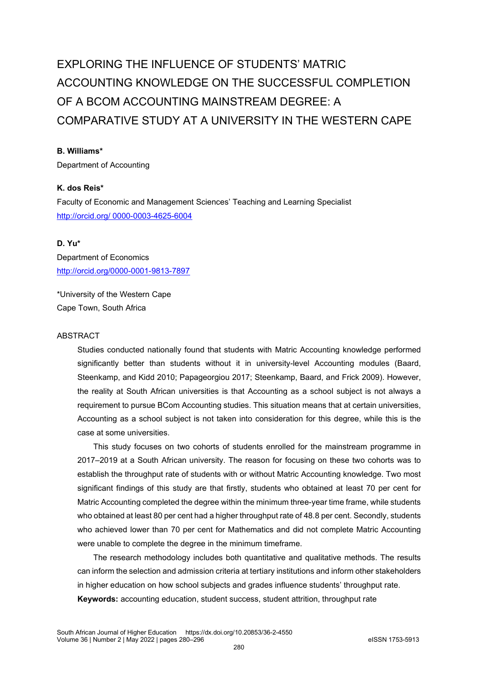# EXPLORING THE INFLUENCE OF STUDENTS' MATRIC ACCOUNTING KNOWLEDGE ON THE SUCCESSFUL COMPLETION OF A BCOM ACCOUNTING MAINSTREAM DEGREE: A COMPARATIVE STUDY AT A UNIVERSITY IN THE WESTERN CAPE

#### **B. Williams\***

Department of Accounting

## **K. dos Reis\***

Faculty of Economic and Management Sciences' Teaching and Learning Specialist http://orcid.org/ 0000-0003-4625-6004

# **D. Yu\***  Department of Economics <http://orcid.org/0000-0001-9813-7897>

\*University of the Western Cape Cape Town, South Africa

#### ABSTRACT

Studies conducted nationally found that students with Matric Accounting knowledge performed significantly better than students without it in university-level Accounting modules (Baard, Steenkamp, and Kidd 2010; Papageorgiou 2017; Steenkamp, Baard, and Frick 2009). However, the reality at South African universities is that Accounting as a school subject is not always a requirement to pursue BCom Accounting studies. This situation means that at certain universities, Accounting as a school subject is not taken into consideration for this degree, while this is the case at some universities.

This study focuses on two cohorts of students enrolled for the mainstream programme in 2017-2019 at a South African university. The reason for focusing on these two cohorts was to establish the throughput rate of students with or without Matric Accounting knowledge. Two most significant findings of this study are that firstly, students who obtained at least 70 per cent for Matric Accounting completed the degree within the minimum three-year time frame, while students who obtained at least 80 per cent had a higher throughput rate of 48.8 per cent. Secondly, students who achieved lower than 70 per cent for Mathematics and did not complete Matric Accounting were unable to complete the degree in the minimum timeframe.

The research methodology includes both quantitative and qualitative methods. The results can inform the selection and admission criteria at tertiary institutions and inform other stakeholders in higher education on how school subjects and grades influence students' throughput rate. **Keywords:** accounting education, student success, student attrition, throughput rate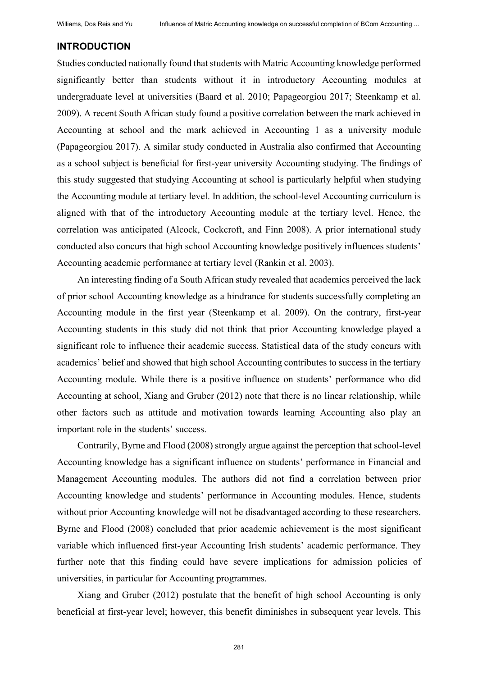#### **INTRODUCTION**

Studies conducted nationally found that students with Matric Accounting knowledge performed significantly better than students without it in introductory Accounting modules at undergraduate level at universities (Baard et al. 2010; Papageorgiou 2017; Steenkamp et al. 2009). A recent South African study found a positive correlation between the mark achieved in Accounting at school and the mark achieved in Accounting 1 as a university module (Papageorgiou 2017). A similar study conducted in Australia also confirmed that Accounting as a school subject is beneficial for first-year university Accounting studying. The findings of this study suggested that studying Accounting at school is particularly helpful when studying the Accounting module at tertiary level. In addition, the school-level Accounting curriculum is aligned with that of the introductory Accounting module at the tertiary level. Hence, the correlation was anticipated (Alcock, Cockcroft, and Finn 2008). A prior international study conducted also concurs that high school Accounting knowledge positively influences students' Accounting academic performance at tertiary level (Rankin et al. 2003).

An interesting finding of a South African study revealed that academics perceived the lack of prior school Accounting knowledge as a hindrance for students successfully completing an Accounting module in the first year (Steenkamp et al. 2009). On the contrary, first-year Accounting students in this study did not think that prior Accounting knowledge played a significant role to influence their academic success. Statistical data of the study concurs with academics' belief and showed that high school Accounting contributes to success in the tertiary Accounting module. While there is a positive influence on students' performance who did Accounting at school, Xiang and Gruber (2012) note that there is no linear relationship, while other factors such as attitude and motivation towards learning Accounting also play an important role in the students' success.

Contrarily, Byrne and Flood (2008) strongly argue against the perception that school-level Accounting knowledge has a significant influence on students' performance in Financial and Management Accounting modules. The authors did not find a correlation between prior Accounting knowledge and students' performance in Accounting modules. Hence, students without prior Accounting knowledge will not be disadvantaged according to these researchers. Byrne and Flood (2008) concluded that prior academic achievement is the most significant variable which influenced first-year Accounting Irish students' academic performance. They further note that this finding could have severe implications for admission policies of universities, in particular for Accounting programmes.

Xiang and Gruber (2012) postulate that the benefit of high school Accounting is only beneficial at first-year level; however, this benefit diminishes in subsequent year levels. This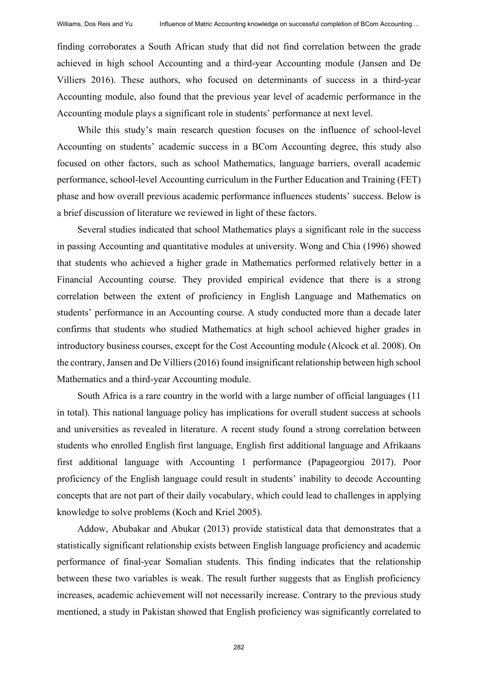finding corroborates a South African study that did not find correlation between the grade achieved in high school Accounting and a third-year Accounting module (Jansen and De Villiers 2016). These authors, who focused on determinants of success in a third-year Accounting module, also found that the previous year level of academic performance in the Accounting module plays a significant role in students' performance at next level.

While this study's main research question focuses on the influence of school-level Accounting on students' academic success in a BCom Accounting degree, this study also focused on other factors, such as school Mathematics, language barriers, overall academic performance, school-level Accounting curriculum in the Further Education and Training (FET) phase and how overall previous academic performance influences students' success. Below is a brief discussion of literature we reviewed in light of these factors.

Several studies indicated that school Mathematics plays a significant role in the success in passing Accounting and quantitative modules at university. Wong and Chia (1996) showed that students who achieved a higher grade in Mathematics performed relatively better in a Financial Accounting course. They provided empirical evidence that there is a strong correlation between the extent of proficiency in English Language and Mathematics on students' performance in an Accounting course. A study conducted more than a decade later confirms that students who studied Mathematics at high school achieved higher grades in introductory business courses, except for the Cost Accounting module (Alcock et al. 2008). On the contrary, Jansen and De Villiers (2016) found insignificant relationship between high school Mathematics and a third-year Accounting module.

South Africa is a rare country in the world with a large number of official languages (11 in total). This national language policy has implications for overall student success at schools and universities as revealed in literature. A recent study found a strong correlation between students who enrolled English first language, English first additional language and Afrikaans first additional language with Accounting 1 performance (Papageorgiou 2017). Poor proficiency of the English language could result in students' inability to decode Accounting concepts that are not part of their daily vocabulary, which could lead to challenges in applying knowledge to solve problems (Koch and Kriel 2005).

Addow, Abubakar and Abukar (2013) provide statistical data that demonstrates that a statistically significant relationship exists between English language proficiency and academic performance of final-year Somalian students. This finding indicates that the relationship between these two variables is weak. The result further suggests that as English proficiency increases, academic achievement will not necessarily increase. Contrary to the previous study mentioned, a study in Pakistan showed that English proficiency was significantly correlated to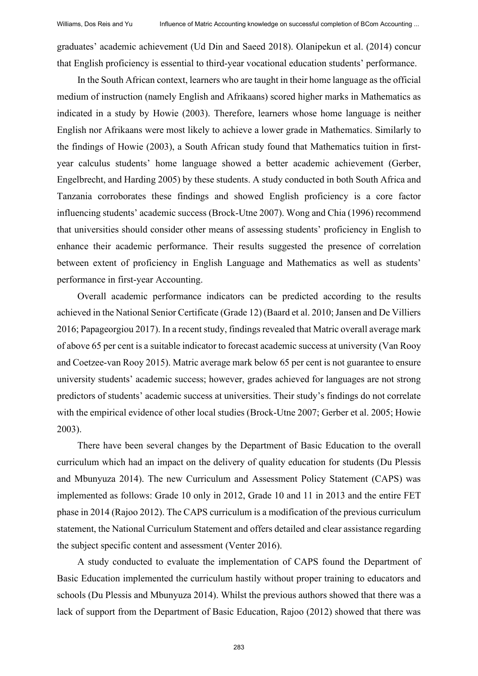graduates' academic achievement (Ud Din and Saeed 2018). Olanipekun et al. (2014) concur that English proficiency is essential to third-year vocational education students' performance.

In the South African context, learners who are taught in their home language as the official medium of instruction (namely English and Afrikaans) scored higher marks in Mathematics as indicated in a study by Howie (2003). Therefore, learners whose home language is neither English nor Afrikaans were most likely to achieve a lower grade in Mathematics. Similarly to the findings of Howie (2003), a South African study found that Mathematics tuition in firstyear calculus students' home language showed a better academic achievement (Gerber, Engelbrecht, and Harding 2005) by these students. A study conducted in both South Africa and Tanzania corroborates these findings and showed English proficiency is a core factor influencing students' academic success (Brock-Utne 2007). Wong and Chia (1996) recommend that universities should consider other means of assessing students' proficiency in English to enhance their academic performance. Their results suggested the presence of correlation between extent of proficiency in English Language and Mathematics as well as students' performance in first-year Accounting.

Overall academic performance indicators can be predicted according to the results achieved in the National Senior Certificate (Grade 12) (Baard et al. 2010; Jansen and De Villiers 2016; Papageorgiou 2017). In a recent study, findings revealed that Matric overall average mark of above 65 per cent is a suitable indicator to forecast academic success at university (Van Rooy and Coetzee-van Rooy 2015). Matric average mark below 65 per cent is not guarantee to ensure university students' academic success; however, grades achieved for languages are not strong predictors of students' academic success at universities. Their study's findings do not correlate with the empirical evidence of other local studies (Brock-Utne 2007; Gerber et al. 2005; Howie 2003).

There have been several changes by the Department of Basic Education to the overall curriculum which had an impact on the delivery of quality education for students (Du Plessis and Mbunyuza 2014). The new Curriculum and Assessment Policy Statement (CAPS) was implemented as follows: Grade 10 only in 2012, Grade 10 and 11 in 2013 and the entire FET phase in 2014 (Rajoo 2012). The CAPS curriculum is a modification of the previous curriculum statement, the National Curriculum Statement and offers detailed and clear assistance regarding the subject specific content and assessment (Venter 2016).

A study conducted to evaluate the implementation of CAPS found the Department of Basic Education implemented the curriculum hastily without proper training to educators and schools (Du Plessis and Mbunyuza 2014). Whilst the previous authors showed that there was a lack of support from the Department of Basic Education, Rajoo (2012) showed that there was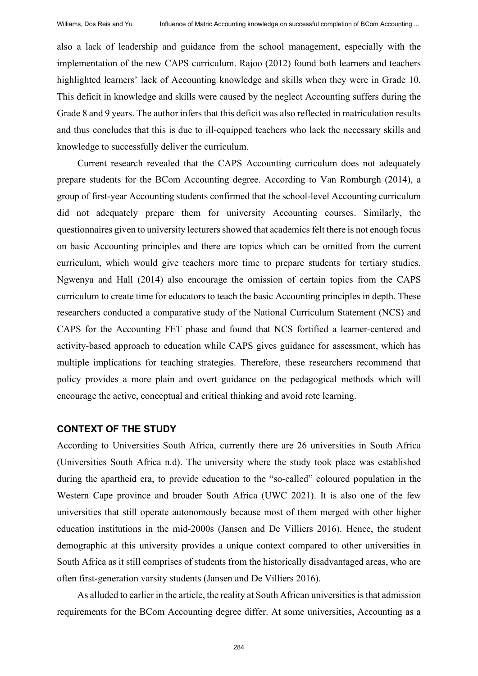also a lack of leadership and guidance from the school management, especially with the implementation of the new CAPS curriculum. Rajoo (2012) found both learners and teachers highlighted learners' lack of Accounting knowledge and skills when they were in Grade 10. This deficit in knowledge and skills were caused by the neglect Accounting suffers during the Grade 8 and 9 years. The author infers that this deficit was also reflected in matriculation results and thus concludes that this is due to ill-equipped teachers who lack the necessary skills and knowledge to successfully deliver the curriculum.

Current research revealed that the CAPS Accounting curriculum does not adequately prepare students for the BCom Accounting degree. According to Van Romburgh (2014), a group of first-year Accounting students confirmed that the school-level Accounting curriculum did not adequately prepare them for university Accounting courses. Similarly, the questionnaires given to university lecturers showed that academics felt there is not enough focus on basic Accounting principles and there are topics which can be omitted from the current curriculum, which would give teachers more time to prepare students for tertiary studies. Ngwenya and Hall (2014) also encourage the omission of certain topics from the CAPS curriculum to create time for educators to teach the basic Accounting principles in depth. These researchers conducted a comparative study of the National Curriculum Statement (NCS) and CAPS for the Accounting FET phase and found that NCS fortified a learner-centered and activity-based approach to education while CAPS gives guidance for assessment, which has multiple implications for teaching strategies. Therefore, these researchers recommend that policy provides a more plain and overt guidance on the pedagogical methods which will encourage the active, conceptual and critical thinking and avoid rote learning.

#### **CONTEXT OF THE STUDY**

According to Universities South Africa, currently there are 26 universities in South Africa (Universities South Africa n.d). The university where the study took place was established during the apartheid era, to provide education to the "so-called" coloured population in the Western Cape province and broader South Africa (UWC 2021). It is also one of the few universities that still operate autonomously because most of them merged with other higher education institutions in the mid-2000s (Jansen and De Villiers 2016). Hence, the student demographic at this university provides a unique context compared to other universities in South Africa as it still comprises of students from the historically disadvantaged areas, who are often first-generation varsity students (Jansen and De Villiers 2016).

As alluded to earlier in the article, the reality at South African universities is that admission requirements for the BCom Accounting degree differ. At some universities, Accounting as a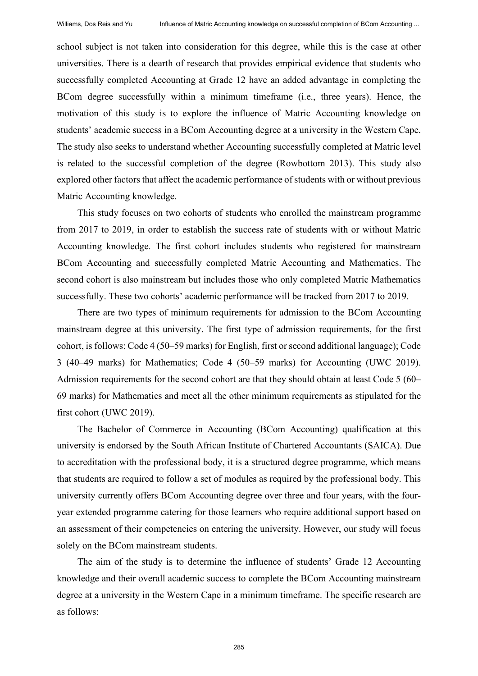school subject is not taken into consideration for this degree, while this is the case at other universities. There is a dearth of research that provides empirical evidence that students who successfully completed Accounting at Grade 12 have an added advantage in completing the BCom degree successfully within a minimum timeframe (i.e., three years). Hence, the motivation of this study is to explore the influence of Matric Accounting knowledge on students' academic success in a BCom Accounting degree at a university in the Western Cape. The study also seeks to understand whether Accounting successfully completed at Matric level is related to the successful completion of the degree (Rowbottom 2013). This study also explored other factors that affect the academic performance of students with or without previous Matric Accounting knowledge.

This study focuses on two cohorts of students who enrolled the mainstream programme from 2017 to 2019, in order to establish the success rate of students with or without Matric Accounting knowledge. The first cohort includes students who registered for mainstream BCom Accounting and successfully completed Matric Accounting and Mathematics. The second cohort is also mainstream but includes those who only completed Matric Mathematics successfully. These two cohorts' academic performance will be tracked from 2017 to 2019.

There are two types of minimum requirements for admission to the BCom Accounting mainstream degree at this university. The first type of admission requirements, for the first cohort, is follows: Code 4 (50‒59 marks) for English, first or second additional language); Code 3 (40‒49 marks) for Mathematics; Code 4 (50‒59 marks) for Accounting (UWC 2019). Admission requirements for the second cohort are that they should obtain at least Code 5 (60– 69 marks) for Mathematics and meet all the other minimum requirements as stipulated for the first cohort (UWC 2019).

The Bachelor of Commerce in Accounting (BCom Accounting) qualification at this university is endorsed by the South African Institute of Chartered Accountants (SAICA). Due to accreditation with the professional body, it is a structured degree programme, which means that students are required to follow a set of modules as required by the professional body. This university currently offers BCom Accounting degree over three and four years, with the fouryear extended programme catering for those learners who require additional support based on an assessment of their competencies on entering the university. However, our study will focus solely on the BCom mainstream students.

The aim of the study is to determine the influence of students' Grade 12 Accounting knowledge and their overall academic success to complete the BCom Accounting mainstream degree at a university in the Western Cape in a minimum timeframe. The specific research are as follows:

285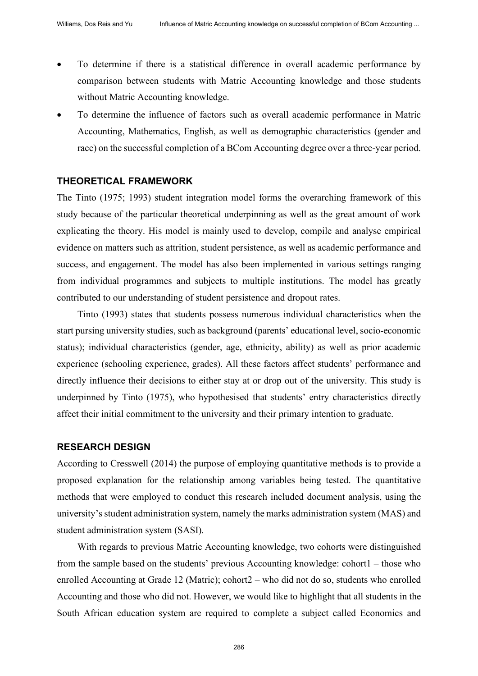- To determine if there is a statistical difference in overall academic performance by comparison between students with Matric Accounting knowledge and those students without Matric Accounting knowledge.
- To determine the influence of factors such as overall academic performance in Matric Accounting, Mathematics, English, as well as demographic characteristics (gender and race) on the successful completion of a BCom Accounting degree over a three-year period.

#### **THEORETICAL FRAMEWORK**

The Tinto (1975; 1993) student integration model forms the overarching framework of this study because of the particular theoretical underpinning as well as the great amount of work explicating the theory. His model is mainly used to develop, compile and analyse empirical evidence on matters such as attrition, student persistence, as well as academic performance and success, and engagement. The model has also been implemented in various settings ranging from individual programmes and subjects to multiple institutions. The model has greatly contributed to our understanding of student persistence and dropout rates.

Tinto (1993) states that students possess numerous individual characteristics when the start pursing university studies, such as background (parents' educational level, socio-economic status); individual characteristics (gender, age, ethnicity, ability) as well as prior academic experience (schooling experience, grades). All these factors affect students' performance and directly influence their decisions to either stay at or drop out of the university. This study is underpinned by Tinto (1975), who hypothesised that students' entry characteristics directly affect their initial commitment to the university and their primary intention to graduate.

#### **RESEARCH DESIGN**

According to Cresswell (2014) the purpose of employing quantitative methods is to provide a proposed explanation for the relationship among variables being tested. The quantitative methods that were employed to conduct this research included document analysis, using the university'sstudent administration system, namely the marks administration system (MAS) and student administration system (SASI).

With regards to previous Matric Accounting knowledge, two cohorts were distinguished from the sample based on the students' previous Accounting knowledge: cohort1 – those who enrolled Accounting at Grade 12 (Matric); cohort2 – who did not do so, students who enrolled Accounting and those who did not. However, we would like to highlight that all students in the South African education system are required to complete a subject called Economics and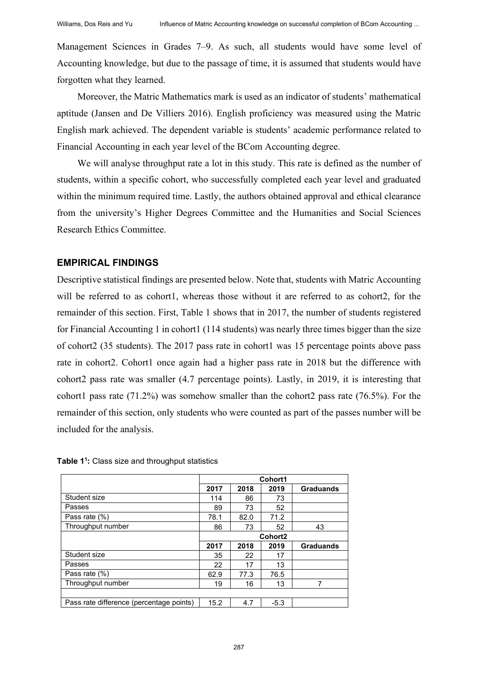Management Sciences in Grades 7–9. As such, all students would have some level of Accounting knowledge, but due to the passage of time, it is assumed that students would have forgotten what they learned.

Moreover, the Matric Mathematics mark is used as an indicator of students' mathematical aptitude (Jansen and De Villiers 2016). English proficiency was measured using the Matric English mark achieved. The dependent variable is students' academic performance related to Financial Accounting in each year level of the BCom Accounting degree.

We will analyse throughput rate a lot in this study. This rate is defined as the number of students, within a specific cohort, who successfully completed each year level and graduated within the minimum required time. Lastly, the authors obtained approval and ethical clearance from the university's Higher Degrees Committee and the Humanities and Social Sciences Research Ethics Committee.

### **EMPIRICAL FINDINGS**

Descriptive statistical findings are presented below. Note that, students with Matric Accounting will be referred to as cohort1, whereas those without it are referred to as cohort2, for the remainder of this section. First, Table 1 shows that in 2017, the number of students registered for Financial Accounting 1 in cohort1 (114 students) was nearly three times bigger than the size of cohort2 (35 students). The 2017 pass rate in cohort1 was 15 percentage points above pass rate in cohort2. Cohort1 once again had a higher pass rate in 2018 but the difference with cohort2 pass rate was smaller (4.7 percentage points). Lastly, in 2019, it is interesting that cohort1 pass rate (71.2%) was somehow smaller than the cohort2 pass rate (76.5%). For the remainder of this section, only students who were counted as part of the passes number will be included for the analysis.

**Table 11:** Class size and throughput statistics

|                                          | Cohort1             |      |        |                  |  |
|------------------------------------------|---------------------|------|--------|------------------|--|
|                                          | 2017                | 2018 | 2019   | <b>Graduands</b> |  |
| Student size                             | 114                 | 86   | 73     |                  |  |
| Passes                                   | 89                  | 73   | 52     |                  |  |
| Pass rate (%)                            | 78.1                | 82.0 | 71.2   |                  |  |
| Throughput number                        | 86                  | 73   | 52     | 43               |  |
|                                          | Cohort <sub>2</sub> |      |        |                  |  |
|                                          | 2017                | 2018 | 2019   | <b>Graduands</b> |  |
| Student size                             | 35                  | 22   | 17     |                  |  |
| Passes                                   | 22                  | 17   | 13     |                  |  |
| Pass rate (%)                            | 62.9                | 77.3 | 76.5   |                  |  |
| Throughput number                        | 19                  | 16   | 13     |                  |  |
|                                          |                     |      |        |                  |  |
| Pass rate difference (percentage points) | 15.2                | 4.7  | $-5.3$ |                  |  |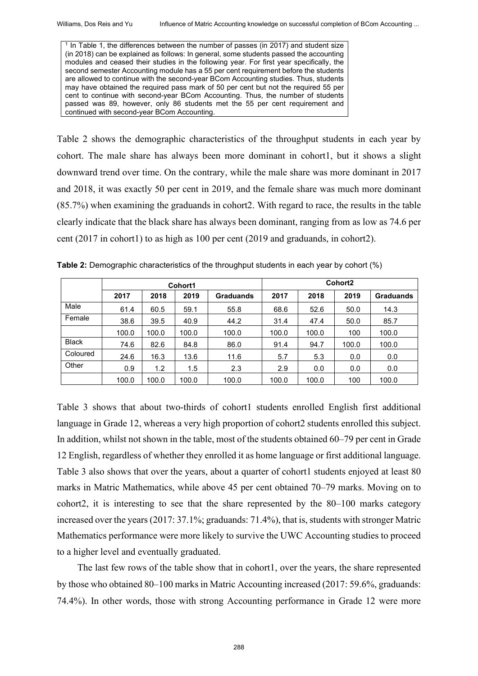$1$  In Table 1, the differences between the number of passes (in 2017) and student size (in 2018) can be explained as follows: In general, some students passed the accounting modules and ceased their studies in the following year. For first year specifically, the second semester Accounting module has a 55 per cent requirement before the students are allowed to continue with the second-year BCom Accounting studies. Thus, students may have obtained the required pass mark of 50 per cent but not the required 55 per cent to continue with second-year BCom Accounting. Thus, the number of students passed was 89, however, only 86 students met the 55 per cent requirement and continued with second-year BCom Accounting.

Table 2 shows the demographic characteristics of the throughput students in each year by cohort. The male share has always been more dominant in cohort1, but it shows a slight downward trend over time. On the contrary, while the male share was more dominant in 2017 and 2018, it was exactly 50 per cent in 2019, and the female share was much more dominant (85.7%) when examining the graduands in cohort2. With regard to race, the results in the table clearly indicate that the black share has always been dominant, ranging from as low as 74.6 per cent (2017 in cohort1) to as high as 100 per cent (2019 and graduands, in cohort2).

|              | Cohort1 |       |       |                  | Cohort <sub>2</sub> |       |       |                  |
|--------------|---------|-------|-------|------------------|---------------------|-------|-------|------------------|
|              | 2017    | 2018  | 2019  | <b>Graduands</b> | 2017                | 2018  | 2019  | <b>Graduands</b> |
| Male         | 61.4    | 60.5  | 59.1  | 55.8             | 68.6                | 52.6  | 50.0  | 14.3             |
| Female       | 38.6    | 39.5  | 40.9  | 44.2             | 31.4                | 47.4  | 50.0  | 85.7             |
|              | 100.0   | 100.0 | 100.0 | 100.0            | 100.0               | 100.0 | 100   | 100.0            |
| <b>Black</b> | 74.6    | 82.6  | 84.8  | 86.0             | 91.4                | 94.7  | 100.0 | 100.0            |
| Coloured     | 24.6    | 16.3  | 13.6  | 11.6             | 5.7                 | 5.3   | 0.0   | 0.0              |
| Other        | 0.9     | 1.2   | 1.5   | 2.3              | 2.9                 | 0.0   | 0.0   | 0.0              |
|              | 100.0   | 100.0 | 100.0 | 100.0            | 100.0               | 100.0 | 100   | 100.0            |

**Table 2:** Demographic characteristics of the throughput students in each year by cohort (%)

Table 3 shows that about two-thirds of cohort1 students enrolled English first additional language in Grade 12, whereas a very high proportion of cohort2 students enrolled this subject. In addition, whilst not shown in the table, most of the students obtained 60–79 per cent in Grade 12 English, regardless of whether they enrolled it as home language or first additional language. Table 3 also shows that over the years, about a quarter of cohort1 students enjoyed at least 80 marks in Matric Mathematics, while above 45 per cent obtained 70–79 marks. Moving on to cohort2, it is interesting to see that the share represented by the  $80-100$  marks category increased over the years (2017: 37.1%; graduands: 71.4%), that is, students with stronger Matric Mathematics performance were more likely to survive the UWC Accounting studies to proceed to a higher level and eventually graduated.

The last few rows of the table show that in cohort1, over the years, the share represented by those who obtained  $80-100$  marks in Matric Accounting increased (2017: 59.6%, graduands: 74.4%). In other words, those with strong Accounting performance in Grade 12 were more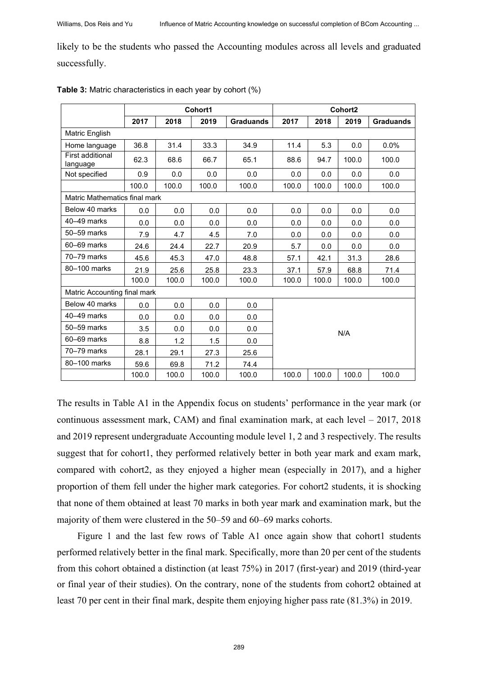likely to be the students who passed the Accounting modules across all levels and graduated successfully.

|                               | Cohort1              |       |                  |       | Cohort <sub>2</sub> |       |                  |       |  |
|-------------------------------|----------------------|-------|------------------|-------|---------------------|-------|------------------|-------|--|
|                               | 2017<br>2018<br>2019 |       | <b>Graduands</b> | 2017  | 2018                | 2019  | <b>Graduands</b> |       |  |
| Matric English                |                      |       |                  |       |                     |       |                  |       |  |
| Home language                 | 36.8<br>31.4<br>33.3 |       | 34.9             | 11.4  | 5.3                 | 0.0   | 0.0%             |       |  |
| First additional<br>language  | 62.3                 | 68.6  | 66.7             | 65.1  | 88.6                | 94.7  | 100.0            | 100.0 |  |
| Not specified                 | 0.9                  | 0.0   | 0.0              | 0.0   | 0.0                 | 0.0   | 0.0              | 0.0   |  |
|                               | 100.0                | 100.0 | 100.0            | 100.0 | 100.0               | 100.0 | 100.0            | 100.0 |  |
| Matric Mathematics final mark |                      |       |                  |       |                     |       |                  |       |  |
| Below 40 marks                | 0.0                  | 0.0   | 0.0              | 0.0   | 0.0                 | 0.0   | 0.0              | 0.0   |  |
| $40-49$ marks                 | 0.0                  | 0.0   | 0.0              | 0.0   | 0.0                 | 0.0   | 0.0              | 0.0   |  |
| 50–59 marks                   | 7.9                  | 4.7   | 4.5              | 7.0   | 0.0                 | 0.0   | 0.0              | 0.0   |  |
| 60-69 marks                   | 24.6                 | 24.4  | 22.7             | 20.9  | 5.7                 | 0.0   | 0.0              | 0.0   |  |
| 70-79 marks                   | 45.6                 | 45.3  | 47.0             | 48.8  | 57.1                | 42.1  | 31.3             | 28.6  |  |
| 80-100 marks                  | 21.9                 | 25.6  | 25.8             | 23.3  | 37.1<br>57.9        |       | 68.8             | 71.4  |  |
|                               | 100.0                | 100.0 | 100.0            | 100.0 | 100.0               | 100.0 | 100.0            | 100.0 |  |
| Matric Accounting final mark  |                      |       |                  |       |                     |       |                  |       |  |
| Below 40 marks                | 0.0                  | 0.0   | 0.0              | 0.0   |                     |       |                  |       |  |
| $40-49$ marks                 | 0.0                  | 0.0   | 0.0              | 0.0   |                     |       |                  |       |  |
| 50-59 marks                   | 3.5                  | 0.0   | 0.0              | 0.0   | N/A                 |       |                  |       |  |
| 60-69 marks                   | 8.8                  | 1.2   | 1.5              | 0.0   |                     |       |                  |       |  |
| 70-79 marks                   | 28.1                 | 29.1  | 27.3             | 25.6  |                     |       |                  |       |  |
| 80-100 marks                  | 59.6                 | 69.8  | 71.2             | 74.4  |                     |       |                  |       |  |
|                               | 100.0                | 100.0 | 100.0            | 100.0 | 100.0               | 100.0 | 100.0            | 100.0 |  |

**Table 3:** Matric characteristics in each year by cohort (%)

The results in Table A1 in the Appendix focus on students' performance in the year mark (or continuous assessment mark, CAM) and final examination mark, at each level – 2017, 2018 and 2019 represent undergraduate Accounting module level 1, 2 and 3 respectively. The results suggest that for cohort1, they performed relatively better in both year mark and exam mark, compared with cohort2, as they enjoyed a higher mean (especially in 2017), and a higher proportion of them fell under the higher mark categories. For cohort2 students, it is shocking that none of them obtained at least 70 marks in both year mark and examination mark, but the majority of them were clustered in the 50–59 and 60–69 marks cohorts.

Figure 1 and the last few rows of Table A1 once again show that cohort1 students performed relatively better in the final mark. Specifically, more than 20 per cent of the students from this cohort obtained a distinction (at least 75%) in 2017 (first-year) and 2019 (third-year or final year of their studies). On the contrary, none of the students from cohort2 obtained at least 70 per cent in their final mark, despite them enjoying higher pass rate (81.3%) in 2019.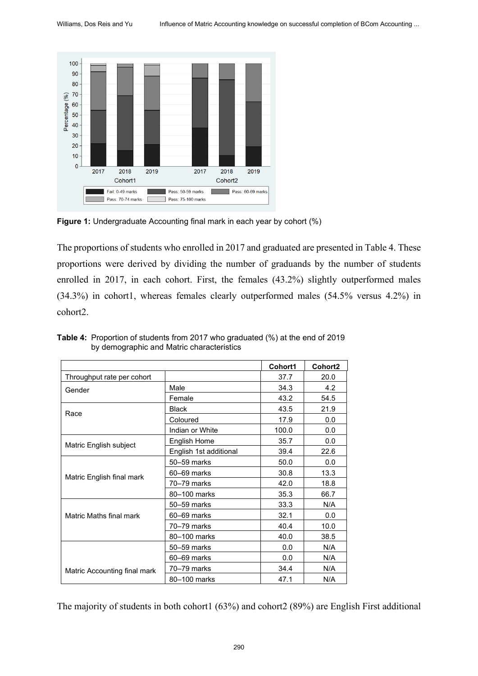

**Figure 1:** Undergraduate Accounting final mark in each year by cohort (%)

The proportions of students who enrolled in 2017 and graduated are presented in Table 4. These proportions were derived by dividing the number of graduands by the number of students enrolled in 2017, in each cohort. First, the females (43.2%) slightly outperformed males (34.3%) in cohort1, whereas females clearly outperformed males (54.5% versus 4.2%) in cohort2.

|                              |                        | Cohort1 | Cohort <sub>2</sub> |
|------------------------------|------------------------|---------|---------------------|
| Throughput rate per cohort   |                        | 37.7    | 20.0                |
| Gender                       | Male                   | 34.3    | 4.2                 |
|                              | Female                 | 43.2    | 54.5                |
| Race                         | <b>Black</b>           | 43.5    | 21.9                |
|                              | Coloured               | 17.9    | 0.0                 |
|                              | Indian or White        | 100.0   | 0.0                 |
| Matric English subject       | English Home           | 35.7    | 0.0                 |
|                              | English 1st additional | 39.4    | 22.6                |
|                              | 50–59 marks            | 50.0    | 0.0                 |
| Matric English final mark    | 60–69 marks            | 30.8    | 13.3                |
|                              | 70–79 marks            | 42.0    | 18.8                |
|                              | 80-100 marks           | 35.3    | 66.7                |
|                              | 50–59 marks            | 33.3    | N/A                 |
| Matric Maths final mark      | 60-69 marks            | 32.1    | 0.0                 |
|                              | 70-79 marks            | 40.4    | 10.0                |
|                              | 80-100 marks           | 40.0    | 38.5                |
|                              | 50–59 marks            | 0.0     | N/A                 |
|                              | 60–69 marks            | 0.0     | N/A                 |
| Matric Accounting final mark | 70–79 marks            | 34.4    | N/A                 |
|                              | 80-100 marks           | 47.1    | N/A                 |

**Table 4:** Proportion of students from 2017 who graduated (%) at the end of 2019 by demographic and Matric characteristics

The majority of students in both cohort1 (63%) and cohort2 (89%) are English First additional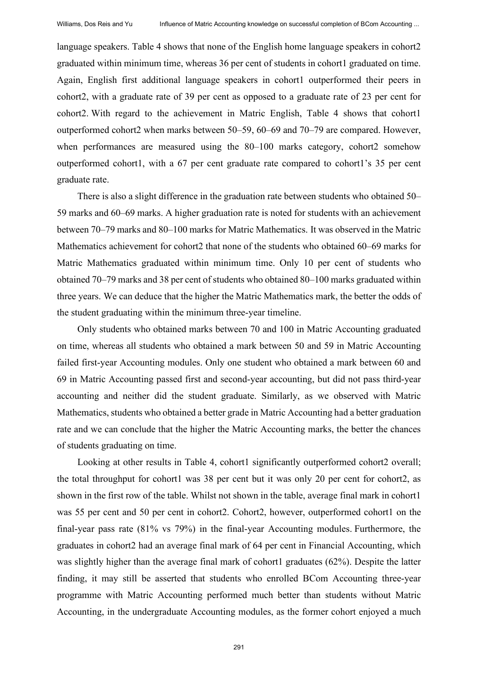language speakers. Table 4 shows that none of the English home language speakers in cohort2 graduated within minimum time, whereas 36 per cent of students in cohort1 graduated on time. Again, English first additional language speakers in cohort1 outperformed their peers in cohort2, with a graduate rate of 39 per cent as opposed to a graduate rate of 23 per cent for cohort2. With regard to the achievement in Matric English, Table 4 shows that cohort1 outperformed cohort2 when marks between 50–59, 60–69 and 70–79 are compared. However, when performances are measured using the  $80-100$  marks category, cohort2 somehow outperformed cohort1, with a 67 per cent graduate rate compared to cohort1's 35 per cent graduate rate.

There is also a slight difference in the graduation rate between students who obtained 50– 59 marks and 60‒69 marks. A higher graduation rate is noted for students with an achievement between 70–79 marks and 80–100 marks for Matric Mathematics. It was observed in the Matric Mathematics achievement for cohort2 that none of the students who obtained 60–69 marks for Matric Mathematics graduated within minimum time. Only 10 per cent of students who obtained 70–79 marks and 38 per cent of students who obtained 80–100 marks graduated within three years. We can deduce that the higher the Matric Mathematics mark, the better the odds of the student graduating within the minimum three-year timeline.

Only students who obtained marks between 70 and 100 in Matric Accounting graduated on time, whereas all students who obtained a mark between 50 and 59 in Matric Accounting failed first-year Accounting modules. Only one student who obtained a mark between 60 and 69 in Matric Accounting passed first and second-year accounting, but did not pass third-year accounting and neither did the student graduate. Similarly, as we observed with Matric Mathematics, students who obtained a better grade in Matric Accounting had a better graduation rate and we can conclude that the higher the Matric Accounting marks, the better the chances of students graduating on time.

Looking at other results in Table 4, cohort1 significantly outperformed cohort2 overall; the total throughput for cohort1 was 38 per cent but it was only 20 per cent for cohort2, as shown in the first row of the table. Whilst not shown in the table, average final mark in cohort1 was 55 per cent and 50 per cent in cohort2. Cohort2, however, outperformed cohort1 on the final-year pass rate (81% vs 79%) in the final-year Accounting modules. Furthermore, the graduates in cohort2 had an average final mark of 64 per cent in Financial Accounting, which was slightly higher than the average final mark of cohort1 graduates (62%). Despite the latter finding, it may still be asserted that students who enrolled BCom Accounting three-year programme with Matric Accounting performed much better than students without Matric Accounting, in the undergraduate Accounting modules, as the former cohort enjoyed a much

291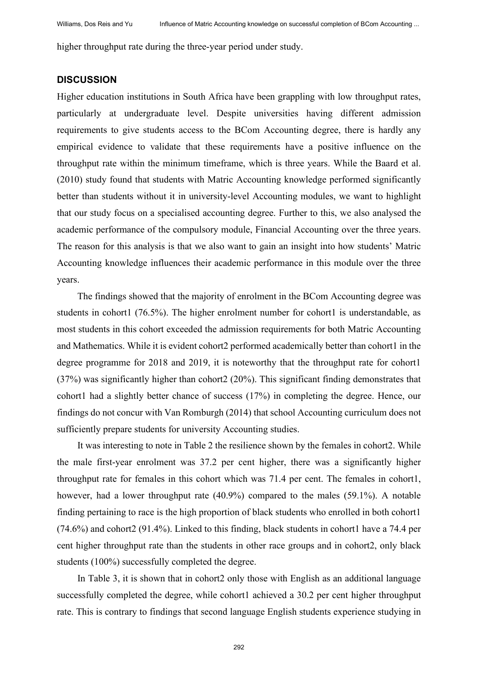higher throughput rate during the three-year period under study.

#### **DISCUSSION**

Higher education institutions in South Africa have been grappling with low throughput rates, particularly at undergraduate level. Despite universities having different admission requirements to give students access to the BCom Accounting degree, there is hardly any empirical evidence to validate that these requirements have a positive influence on the throughput rate within the minimum timeframe, which is three years. While the Baard et al. (2010) study found that students with Matric Accounting knowledge performed significantly better than students without it in university-level Accounting modules, we want to highlight that our study focus on a specialised accounting degree. Further to this, we also analysed the academic performance of the compulsory module, Financial Accounting over the three years. The reason for this analysis is that we also want to gain an insight into how students' Matric Accounting knowledge influences their academic performance in this module over the three years.

The findings showed that the majority of enrolment in the BCom Accounting degree was students in cohort1 (76.5%). The higher enrolment number for cohort1 is understandable, as most students in this cohort exceeded the admission requirements for both Matric Accounting and Mathematics. While it is evident cohort2 performed academically better than cohort1 in the degree programme for 2018 and 2019, it is noteworthy that the throughput rate for cohort1 (37%) was significantly higher than cohort2 (20%). This significant finding demonstrates that cohort1 had a slightly better chance of success (17%) in completing the degree. Hence, our findings do not concur with Van Romburgh (2014) that school Accounting curriculum does not sufficiently prepare students for university Accounting studies.

It was interesting to note in Table 2 the resilience shown by the females in cohort2. While the male first-year enrolment was 37.2 per cent higher, there was a significantly higher throughput rate for females in this cohort which was 71.4 per cent. The females in cohort1, however, had a lower throughput rate (40.9%) compared to the males (59.1%). A notable finding pertaining to race is the high proportion of black students who enrolled in both cohort1 (74.6%) and cohort2 (91.4%). Linked to this finding, black students in cohort1 have a 74.4 per cent higher throughput rate than the students in other race groups and in cohort2, only black students (100%) successfully completed the degree.

In Table 3, it is shown that in cohort2 only those with English as an additional language successfully completed the degree, while cohort1 achieved a 30.2 per cent higher throughput rate. This is contrary to findings that second language English students experience studying in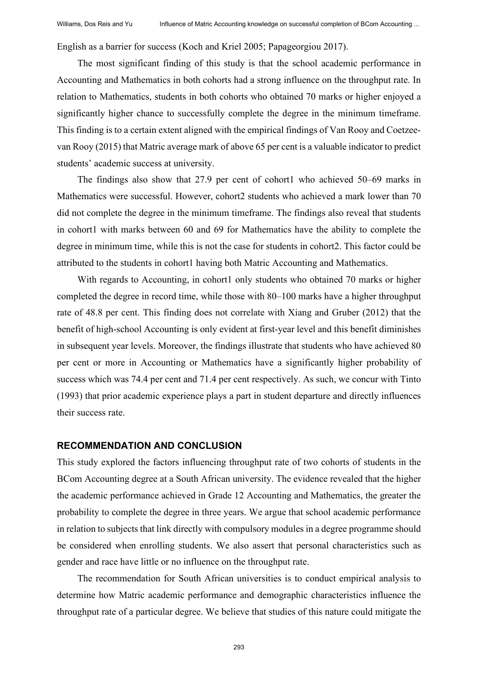English as a barrier for success (Koch and Kriel 2005; Papageorgiou 2017).

The most significant finding of this study is that the school academic performance in Accounting and Mathematics in both cohorts had a strong influence on the throughput rate. In relation to Mathematics, students in both cohorts who obtained 70 marks or higher enjoyed a significantly higher chance to successfully complete the degree in the minimum timeframe. This finding is to a certain extent aligned with the empirical findings of Van Rooy and Coetzeevan Rooy (2015) that Matric average mark of above 65 per cent is a valuable indicator to predict students' academic success at university.

The findings also show that 27.9 per cent of cohort1 who achieved 50–69 marks in Mathematics were successful. However, cohort2 students who achieved a mark lower than 70 did not complete the degree in the minimum timeframe. The findings also reveal that students in cohort1 with marks between 60 and 69 for Mathematics have the ability to complete the degree in minimum time, while this is not the case for students in cohort2. This factor could be attributed to the students in cohort1 having both Matric Accounting and Mathematics.

With regards to Accounting, in cohort1 only students who obtained 70 marks or higher completed the degree in record time, while those with 80–100 marks have a higher throughput rate of 48.8 per cent. This finding does not correlate with Xiang and Gruber (2012) that the benefit of high-school Accounting is only evident at first-year level and this benefit diminishes in subsequent year levels. Moreover, the findings illustrate that students who have achieved 80 per cent or more in Accounting or Mathematics have a significantly higher probability of success which was 74.4 per cent and 71.4 per cent respectively. As such, we concur with Tinto (1993) that prior academic experience plays a part in student departure and directly influences their success rate.

#### **RECOMMENDATION AND CONCLUSION**

This study explored the factors influencing throughput rate of two cohorts of students in the BCom Accounting degree at a South African university. The evidence revealed that the higher the academic performance achieved in Grade 12 Accounting and Mathematics, the greater the probability to complete the degree in three years. We argue that school academic performance in relation to subjects that link directly with compulsory modules in a degree programme should be considered when enrolling students. We also assert that personal characteristics such as gender and race have little or no influence on the throughput rate.

The recommendation for South African universities is to conduct empirical analysis to determine how Matric academic performance and demographic characteristics influence the throughput rate of a particular degree. We believe that studies of this nature could mitigate the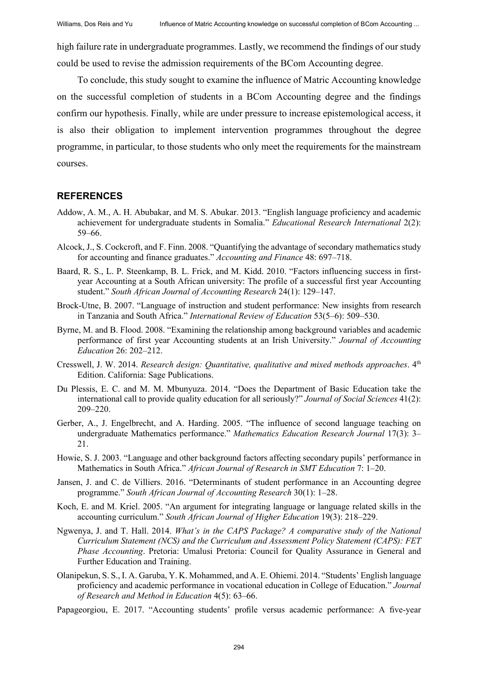high failure rate in undergraduate programmes. Lastly, we recommend the findings of our study could be used to revise the admission requirements of the BCom Accounting degree.

To conclude, this study sought to examine the influence of Matric Accounting knowledge on the successful completion of students in a BCom Accounting degree and the findings confirm our hypothesis. Finally, while are under pressure to increase epistemological access, it is also their obligation to implement intervention programmes throughout the degree programme, in particular, to those students who only meet the requirements for the mainstream courses.

#### **REFERENCES**

- Addow, A. M., A. H. Abubakar, and M. S. Abukar. 2013. "English language proficiency and academic achievement for undergraduate students in Somalia." *Educational Research International* 2(2): 59–66.
- Alcock, J., S. Cockcroft, and F. Finn. 2008. "Quantifying the advantage of secondary mathematics study for accounting and finance graduates." *Accounting and Finance* 48: 697–718.
- Baard, R. S., L. P. Steenkamp, B. L. Frick, and M. Kidd. 2010. "Factors influencing success in firstyear Accounting at a South African university: The profile of a successful first year Accounting student." *South African Journal of Accounting Research* 24(1): 129–147.
- Brock-Utne, B. 2007. "Language of instruction and student performance: New insights from research in Tanzania and South Africa." *International Review of Education* 53(5–6): 509–530.
- Byrne, M. and B. Flood. 2008. "Examining the relationship among background variables and academic performance of first year Accounting students at an Irish University." *Journal of Accounting Education* 26: 202‒212.
- Cresswell, J. W. 2014. *Research design: Quantitative, qualitative and mixed methods approaches*. 4th Edition. California: Sage Publications.
- Du Plessis, E. C. and M. M. Mbunyuza. 2014. "Does the Department of Basic Education take the international call to provide quality education for all seriously?" *Journal of Social Sciences* 41(2): 209‒220.
- Gerber, A., J. Engelbrecht, and A. Harding. 2005. "The influence of second language teaching on undergraduate Mathematics performance." Mathematics Education Research Journal 17(3): 3-21.
- Howie, S. J. 2003. "Language and other background factors affecting secondary pupils' performance in Mathematics in South Africa." *African Journal of Research in SMT Education* 7: 1–20.
- Jansen, J. and C. de Villiers. 2016. "Determinants of student performance in an Accounting degree programme." *South African Journal of Accounting Research* 30(1): 1‒28.
- Koch, E. and M. Kriel. 2005. "An argument for integrating language or language related skills in the accounting curriculum." *South African Journal of Higher Education* 19(3): 218–229.
- Ngwenya, J. and T. Hall. 2014. *What's in the CAPS Package? A comparative study of the National Curriculum Statement (NCS) and the Curriculum and Assessment Policy Statement (CAPS): FET Phase Accounting*. Pretoria: Umalusi Pretoria: Council for Quality Assurance in General and Further Education and Training.
- Olanipekun, S. S., I. A. Garuba, Y. K. Mohammed, and A. E. Ohiemi. 2014. "Students' English language proficiency and academic performance in vocational education in College of Education." *Journal of Research and Method in Education* 4(5): 63‒66.
- Papageorgiou, E. 2017. "Accounting students' profile versus academic performance: A five-year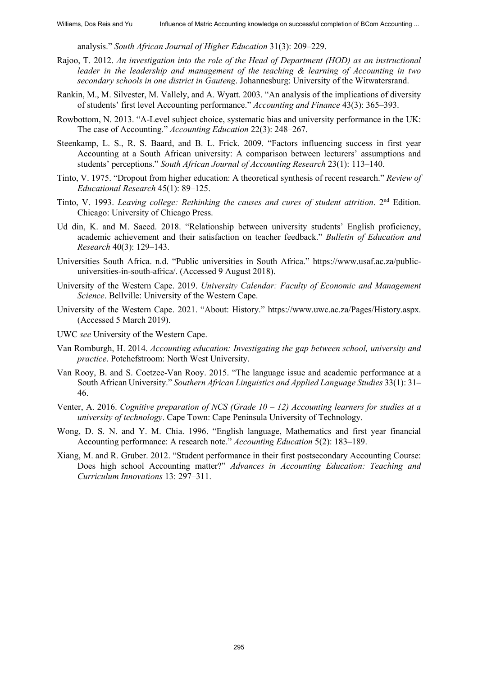analysis." *South African Journal of Higher Education* 31(3): 209–229.

- Rajoo, T. 2012. *An investigation into the role of the Head of Department (HOD) as an instructional leader in the leadership and management of the teaching & learning of Accounting in two secondary schools in one district in Gauteng*. Johannesburg: University of the Witwatersrand.
- Rankin, M., M. Silvester, M. Vallely, and A. Wyatt. 2003. "An analysis of the implications of diversity of students' first level Accounting performance." *Accounting and Finance* 43(3): 365‒393.
- Rowbottom, N. 2013. "A-Level subject choice, systematic bias and university performance in the UK: The case of Accounting." *Accounting Education* 22(3): 248–267.
- Steenkamp, L. S., R. S. Baard, and B. L. Frick. 2009. "Factors influencing success in first year Accounting at a South African university: A comparison between lecturers' assumptions and students' perceptions." *South African Journal of Accounting Research* 23(1): 113–140.
- Tinto, V. 1975. "Dropout from higher education: A theoretical synthesis of recent research." *Review of*  Educational Research 45(1): 89-125.
- Tinto, V. 1993. *Leaving college: Rethinking the causes and cures of student attrition*. 2nd Edition. Chicago: University of Chicago Press.
- Ud din, K. and M. Saeed. 2018. "Relationship between university students' English proficiency, academic achievement and their satisfaction on teacher feedback." *Bulletin of Education and Research* 40(3): 129‒143.
- Universities South Africa. n.d. "Public universities in South Africa." https://www.usaf.ac.za/publicuniversities-in-south-africa/. (Accessed 9 August 2018).
- University of the Western Cape. 2019. *University Calendar: Faculty of Economic and Management Science*. Bellville: University of the Western Cape.
- University of the Western Cape. 2021. "About: History." https://www.uwc.ac.za/Pages/History.aspx. (Accessed 5 March 2019).
- UWC *see* University of the Western Cape.
- Van Romburgh, H. 2014. *Accounting education: Investigating the gap between school, university and practice*. Potchefstroom: North West University.
- Van Rooy, B. and S. Coetzee-Van Rooy. 2015. "The language issue and academic performance at a South African University." *Southern African Linguistics and Applied Language Studies* 33(1): 31-46.
- Venter, A. 2016. *Cognitive preparation of NCS (Grade*  $10 12$ *) Accounting learners for studies at a university of technology*. Cape Town: Cape Peninsula University of Technology.
- Wong, D. S. N. and Y. M. Chia. 1996. "English language, Mathematics and first year financial Accounting performance: A research note." *Accounting Education* 5(2): 183–189.
- Xiang, M. and R. Gruber. 2012. "Student performance in their first postsecondary Accounting Course: Does high school Accounting matter?" *Advances in Accounting Education: Teaching and Curriculum Innovations* 13: 297‒311.